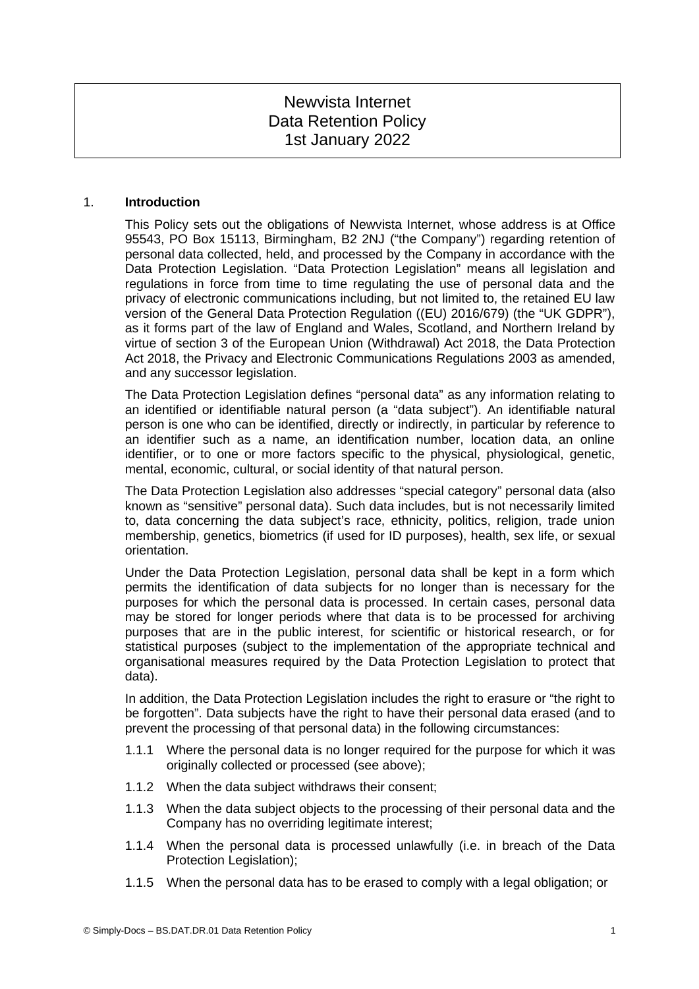# Newvista Internet Data Retention Policy 1st January 2022

### 1. **Introduction**

This Policy sets out the obligations of Newvista Internet, whose address is at Office 95543, PO Box 15113, Birmingham, B2 2NJ ("the Company") regarding retention of personal data collected, held, and processed by the Company in accordance with the Data Protection Legislation. "Data Protection Legislation" means all legislation and regulations in force from time to time regulating the use of personal data and the privacy of electronic communications including, but not limited to, the retained EU law version of the General Data Protection Regulation ((EU) 2016/679) (the "UK GDPR"), as it forms part of the law of England and Wales, Scotland, and Northern Ireland by virtue of section 3 of the European Union (Withdrawal) Act 2018, the Data Protection Act 2018, the Privacy and Electronic Communications Regulations 2003 as amended, and any successor legislation.

The Data Protection Legislation defines "personal data" as any information relating to an identified or identifiable natural person (a "data subject"). An identifiable natural person is one who can be identified, directly or indirectly, in particular by reference to an identifier such as a name, an identification number, location data, an online identifier, or to one or more factors specific to the physical, physiological, genetic, mental, economic, cultural, or social identity of that natural person.

The Data Protection Legislation also addresses "special category" personal data (also known as "sensitive" personal data). Such data includes, but is not necessarily limited to, data concerning the data subject's race, ethnicity, politics, religion, trade union membership, genetics, biometrics (if used for ID purposes), health, sex life, or sexual orientation.

Under the Data Protection Legislation, personal data shall be kept in a form which permits the identification of data subjects for no longer than is necessary for the purposes for which the personal data is processed. In certain cases, personal data may be stored for longer periods where that data is to be processed for archiving purposes that are in the public interest, for scientific or historical research, or for statistical purposes (subject to the implementation of the appropriate technical and organisational measures required by the Data Protection Legislation to protect that data).

In addition, the Data Protection Legislation includes the right to erasure or "the right to be forgotten". Data subjects have the right to have their personal data erased (and to prevent the processing of that personal data) in the following circumstances:

- 1.1.1 Where the personal data is no longer required for the purpose for which it was originally collected or processed (see above);
- 1.1.2 When the data subject withdraws their consent;
- 1.1.3 When the data subject objects to the processing of their personal data and the Company has no overriding legitimate interest;
- 1.1.4 When the personal data is processed unlawfully (i.e. in breach of the Data Protection Legislation);
- 1.1.5 When the personal data has to be erased to comply with a legal obligation; or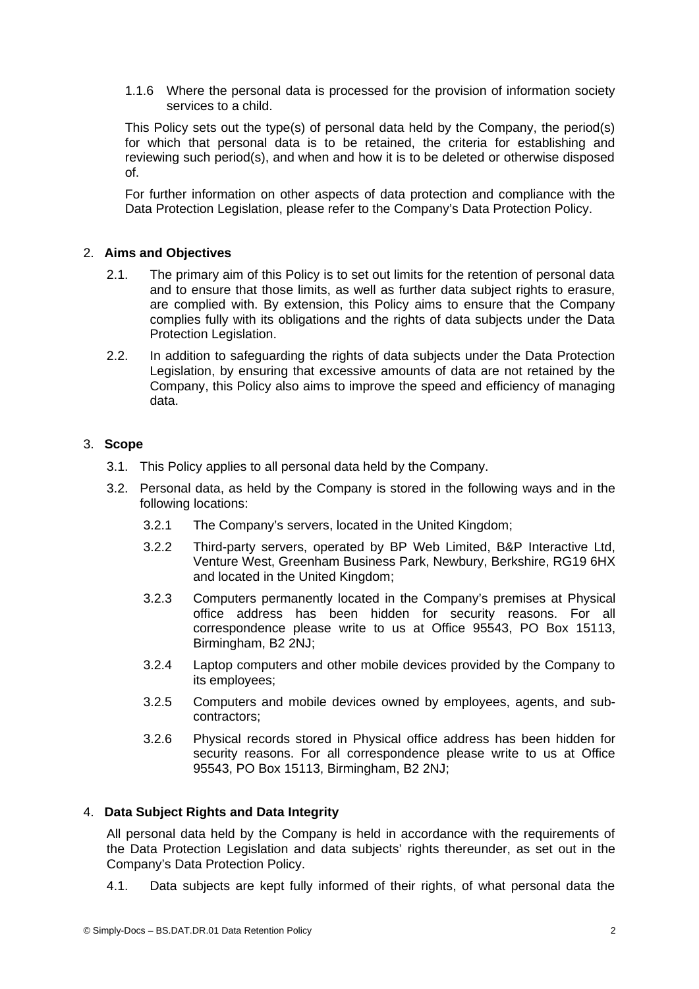1.1.6 Where the personal data is processed for the provision of information society services to a child.

This Policy sets out the type(s) of personal data held by the Company, the period(s) for which that personal data is to be retained, the criteria for establishing and reviewing such period(s), and when and how it is to be deleted or otherwise disposed of.

For further information on other aspects of data protection and compliance with the Data Protection Legislation, please refer to the Company's Data Protection Policy.

### 2. **Aims and Objectives**

- 2.1. The primary aim of this Policy is to set out limits for the retention of personal data and to ensure that those limits, as well as further data subject rights to erasure, are complied with. By extension, this Policy aims to ensure that the Company complies fully with its obligations and the rights of data subjects under the Data Protection Legislation.
- 2.2. In addition to safeguarding the rights of data subjects under the Data Protection Legislation, by ensuring that excessive amounts of data are not retained by the Company, this Policy also aims to improve the speed and efficiency of managing data.

#### 3. **Scope**

- 3.1. This Policy applies to all personal data held by the Company.
- 3.2. Personal data, as held by the Company is stored in the following ways and in the following locations:
	- 3.2.1 The Company's servers, located in the United Kingdom;
	- 3.2.2 Third-party servers, operated by BP Web Limited, B&P Interactive Ltd, Venture West, Greenham Business Park, Newbury, Berkshire, RG19 6HX and located in the United Kingdom;
	- 3.2.3 Computers permanently located in the Company's premises at Physical office address has been hidden for security reasons. For all correspondence please write to us at Office 95543, PO Box 15113, Birmingham, B2 2NJ;
	- 3.2.4 Laptop computers and other mobile devices provided by the Company to its employees;
	- 3.2.5 Computers and mobile devices owned by employees, agents, and subcontractors;
	- 3.2.6 Physical records stored in Physical office address has been hidden for security reasons. For all correspondence please write to us at Office 95543, PO Box 15113, Birmingham, B2 2NJ;

# 4. **Data Subject Rights and Data Integrity**

All personal data held by the Company is held in accordance with the requirements of the Data Protection Legislation and data subjects' rights thereunder, as set out in the Company's Data Protection Policy.

4.1. Data subjects are kept fully informed of their rights, of what personal data the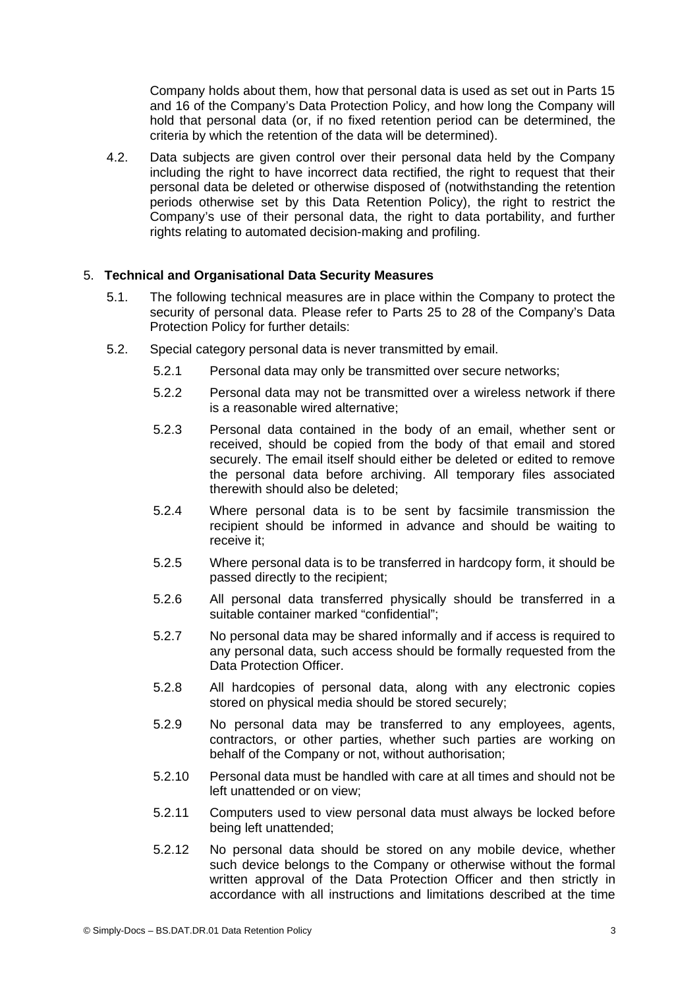Company holds about them, how that personal data is used as set out in Parts 15 and 16 of the Company's Data Protection Policy, and how long the Company will hold that personal data (or, if no fixed retention period can be determined, the criteria by which the retention of the data will be determined).

4.2. Data subjects are given control over their personal data held by the Company including the right to have incorrect data rectified, the right to request that their personal data be deleted or otherwise disposed of (notwithstanding the retention periods otherwise set by this Data Retention Policy), the right to restrict the Company's use of their personal data, the right to data portability, and further rights relating to automated decision-making and profiling.

# 5. **Technical and Organisational Data Security Measures**

- 5.1. The following technical measures are in place within the Company to protect the security of personal data. Please refer to Parts 25 to 28 of the Company's Data Protection Policy for further details:
- 5.2. Special category personal data is never transmitted by email.
	- 5.2.1 Personal data may only be transmitted over secure networks;
	- 5.2.2 Personal data may not be transmitted over a wireless network if there is a reasonable wired alternative;
	- 5.2.3 Personal data contained in the body of an email, whether sent or received, should be copied from the body of that email and stored securely. The email itself should either be deleted or edited to remove the personal data before archiving. All temporary files associated therewith should also be deleted;
	- 5.2.4 Where personal data is to be sent by facsimile transmission the recipient should be informed in advance and should be waiting to receive it;
	- 5.2.5 Where personal data is to be transferred in hardcopy form, it should be passed directly to the recipient;
	- 5.2.6 All personal data transferred physically should be transferred in a suitable container marked "confidential";
	- 5.2.7 No personal data may be shared informally and if access is required to any personal data, such access should be formally requested from the Data Protection Officer.
	- 5.2.8 All hardcopies of personal data, along with any electronic copies stored on physical media should be stored securely;
	- 5.2.9 No personal data may be transferred to any employees, agents, contractors, or other parties, whether such parties are working on behalf of the Company or not, without authorisation;
	- 5.2.10 Personal data must be handled with care at all times and should not be left unattended or on view;
	- 5.2.11 Computers used to view personal data must always be locked before being left unattended;
	- 5.2.12 No personal data should be stored on any mobile device, whether such device belongs to the Company or otherwise without the formal written approval of the Data Protection Officer and then strictly in accordance with all instructions and limitations described at the time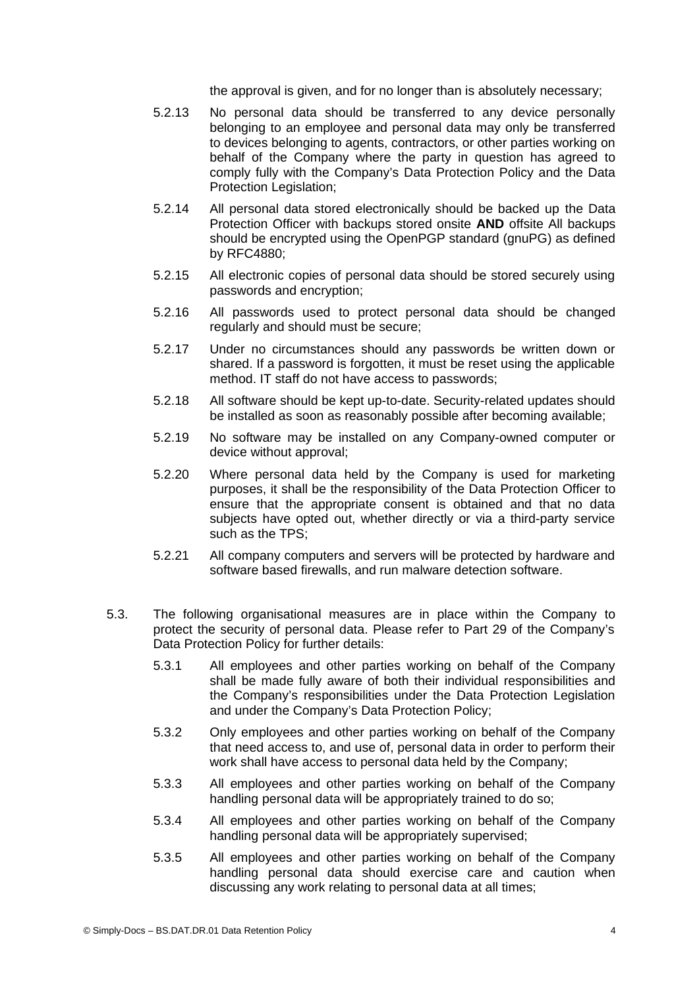the approval is given, and for no longer than is absolutely necessary;

- 5.2.13 No personal data should be transferred to any device personally belonging to an employee and personal data may only be transferred to devices belonging to agents, contractors, or other parties working on behalf of the Company where the party in question has agreed to comply fully with the Company's Data Protection Policy and the Data Protection Legislation;
- 5.2.14 All personal data stored electronically should be backed up the Data Protection Officer with backups stored onsite **AND** offsite All backups should be encrypted using the OpenPGP standard (gnuPG) as defined by RFC4880;
- 5.2.15 All electronic copies of personal data should be stored securely using passwords and encryption;
- 5.2.16 All passwords used to protect personal data should be changed regularly and should must be secure;
- 5.2.17 Under no circumstances should any passwords be written down or shared. If a password is forgotten, it must be reset using the applicable method. IT staff do not have access to passwords;
- 5.2.18 All software should be kept up-to-date. Security-related updates should be installed as soon as reasonably possible after becoming available;
- 5.2.19 No software may be installed on any Company-owned computer or device without approval;
- 5.2.20 Where personal data held by the Company is used for marketing purposes, it shall be the responsibility of the Data Protection Officer to ensure that the appropriate consent is obtained and that no data subjects have opted out, whether directly or via a third-party service such as the TPS;
- 5.2.21 All company computers and servers will be protected by hardware and software based firewalls, and run malware detection software.
- 5.3. The following organisational measures are in place within the Company to protect the security of personal data. Please refer to Part 29 of the Company's Data Protection Policy for further details:
	- 5.3.1 All employees and other parties working on behalf of the Company shall be made fully aware of both their individual responsibilities and the Company's responsibilities under the Data Protection Legislation and under the Company's Data Protection Policy;
	- 5.3.2 Only employees and other parties working on behalf of the Company that need access to, and use of, personal data in order to perform their work shall have access to personal data held by the Company;
	- 5.3.3 All employees and other parties working on behalf of the Company handling personal data will be appropriately trained to do so;
	- 5.3.4 All employees and other parties working on behalf of the Company handling personal data will be appropriately supervised;
	- 5.3.5 All employees and other parties working on behalf of the Company handling personal data should exercise care and caution when discussing any work relating to personal data at all times;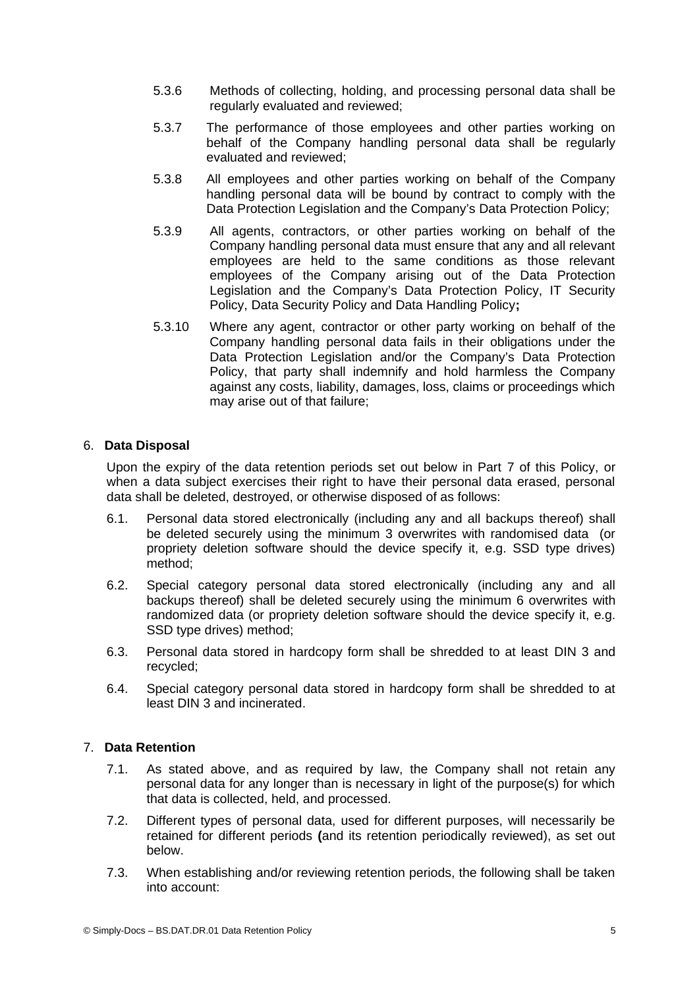- 5.3.6 Methods of collecting, holding, and processing personal data shall be regularly evaluated and reviewed;
- 5.3.7 The performance of those employees and other parties working on behalf of the Company handling personal data shall be regularly evaluated and reviewed;
- 5.3.8 All employees and other parties working on behalf of the Company handling personal data will be bound by contract to comply with the Data Protection Legislation and the Company's Data Protection Policy;
- 5.3.9 All agents, contractors, or other parties working on behalf of the Company handling personal data must ensure that any and all relevant employees are held to the same conditions as those relevant employees of the Company arising out of the Data Protection Legislation and the Company's Data Protection Policy, IT Security Policy, Data Security Policy and Data Handling Policy**;**
- 5.3.10 Where any agent, contractor or other party working on behalf of the Company handling personal data fails in their obligations under the Data Protection Legislation and/or the Company's Data Protection Policy, that party shall indemnify and hold harmless the Company against any costs, liability, damages, loss, claims or proceedings which may arise out of that failure;

# 6. **Data Disposal**

Upon the expiry of the data retention periods set out below in Part [7](#page-4-0) of this Policy, or when a data subject exercises their right to have their personal data erased, personal data shall be deleted, destroyed, or otherwise disposed of as follows:

- 6.1. Personal data stored electronically (including any and all backups thereof) shall be deleted securely using the minimum 3 overwrites with randomised data (or propriety deletion software should the device specify it, e.g. SSD type drives) method;
- 6.2. Special category personal data stored electronically (including any and all backups thereof) shall be deleted securely using the minimum 6 overwrites with randomized data (or propriety deletion software should the device specify it, e.g. SSD type drives) method;
- 6.3. Personal data stored in hardcopy form shall be shredded to at least DIN 3 and recycled;
- 6.4. Special category personal data stored in hardcopy form shall be shredded to at least DIN 3 and incinerated.

# <span id="page-4-0"></span>7. **Data Retention**

- 7.1. As stated above, and as required by law, the Company shall not retain any personal data for any longer than is necessary in light of the purpose(s) for which that data is collected, held, and processed.
- 7.2. Different types of personal data, used for different purposes, will necessarily be retained for different periods **(**and its retention periodically reviewed), as set out below.
- 7.3. When establishing and/or reviewing retention periods, the following shall be taken into account: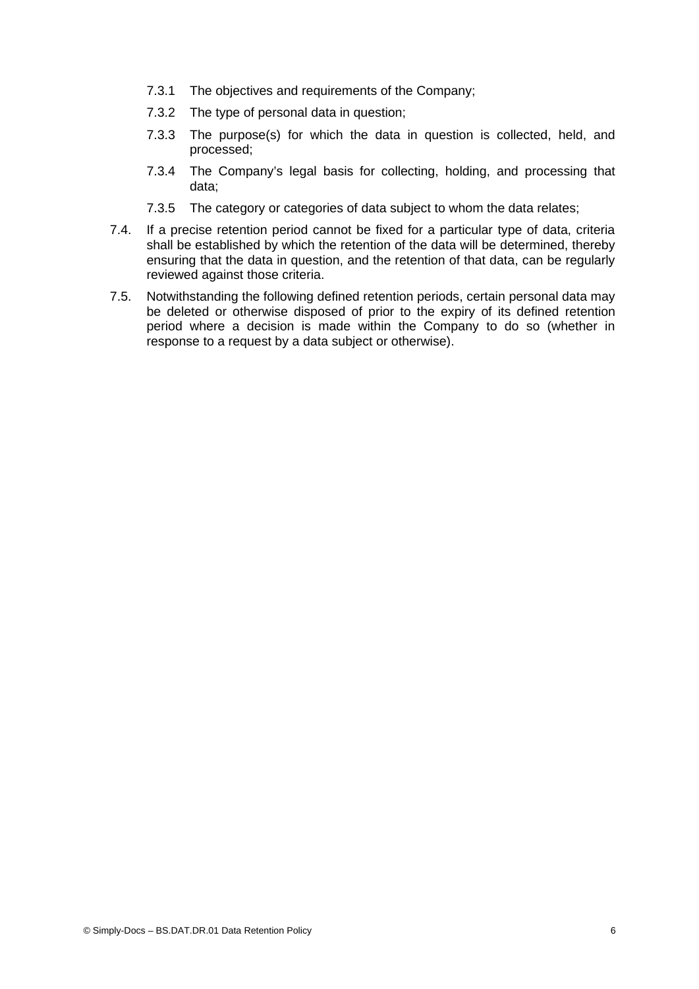- 7.3.1 The objectives and requirements of the Company;
- 7.3.2 The type of personal data in question;
- 7.3.3 The purpose(s) for which the data in question is collected, held, and processed;
- 7.3.4 The Company's legal basis for collecting, holding, and processing that data;
- 7.3.5 The category or categories of data subject to whom the data relates;
- 7.4. If a precise retention period cannot be fixed for a particular type of data, criteria shall be established by which the retention of the data will be determined, thereby ensuring that the data in question, and the retention of that data, can be regularly reviewed against those criteria.
- 7.5. Notwithstanding the following defined retention periods, certain personal data may be deleted or otherwise disposed of prior to the expiry of its defined retention period where a decision is made within the Company to do so (whether in response to a request by a data subject or otherwise).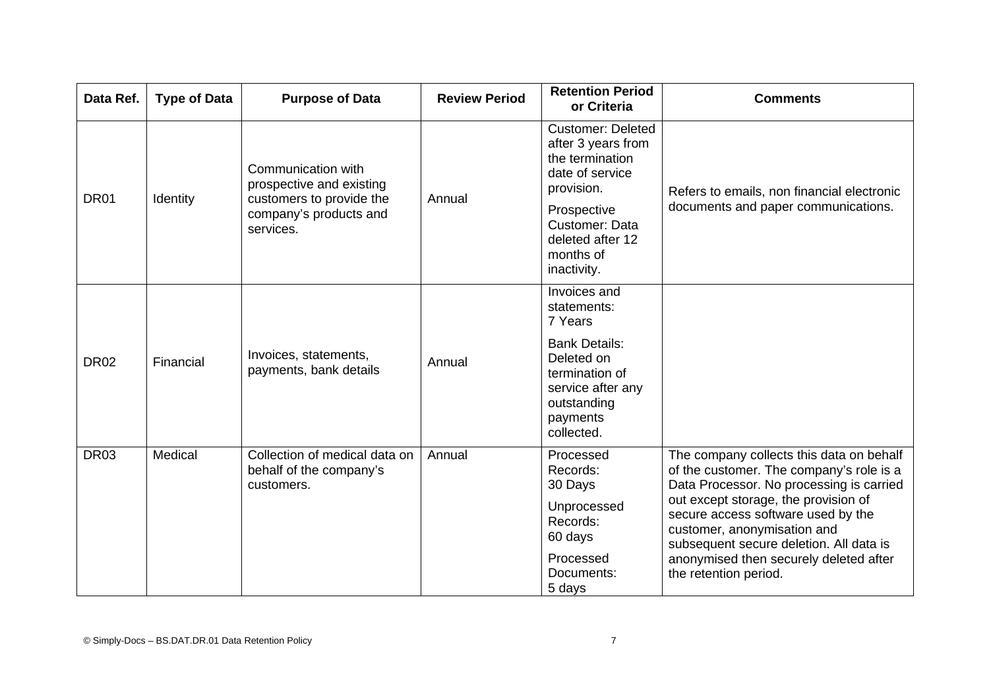| Data Ref.   | <b>Type of Data</b> | <b>Purpose of Data</b>                                                                                            | <b>Review Period</b> | <b>Retention Period</b><br>or Criteria                                                                                                                                              | <b>Comments</b>                                                                                                                                                                                                                                                                                                                                             |
|-------------|---------------------|-------------------------------------------------------------------------------------------------------------------|----------------------|-------------------------------------------------------------------------------------------------------------------------------------------------------------------------------------|-------------------------------------------------------------------------------------------------------------------------------------------------------------------------------------------------------------------------------------------------------------------------------------------------------------------------------------------------------------|
| <b>DR01</b> | Identity            | Communication with<br>prospective and existing<br>customers to provide the<br>company's products and<br>services. | Annual               | <b>Customer: Deleted</b><br>after 3 years from<br>the termination<br>date of service<br>provision.<br>Prospective<br>Customer: Data<br>deleted after 12<br>months of<br>inactivity. | Refers to emails, non financial electronic<br>documents and paper communications.                                                                                                                                                                                                                                                                           |
| <b>DR02</b> | Financial           | Invoices, statements,<br>payments, bank details                                                                   | Annual               | Invoices and<br>statements:<br>7 Years<br><b>Bank Details:</b><br>Deleted on<br>termination of<br>service after any<br>outstanding<br>payments<br>collected.                        |                                                                                                                                                                                                                                                                                                                                                             |
| <b>DR03</b> | Medical             | Collection of medical data on<br>behalf of the company's<br>customers.                                            | Annual               | Processed<br>Records:<br>30 Days<br>Unprocessed<br>Records:<br>60 days<br>Processed<br>Documents:<br>5 days                                                                         | The company collects this data on behalf<br>of the customer. The company's role is a<br>Data Processor. No processing is carried<br>out except storage, the provision of<br>secure access software used by the<br>customer, anonymisation and<br>subsequent secure deletion. All data is<br>anonymised then securely deleted after<br>the retention period. |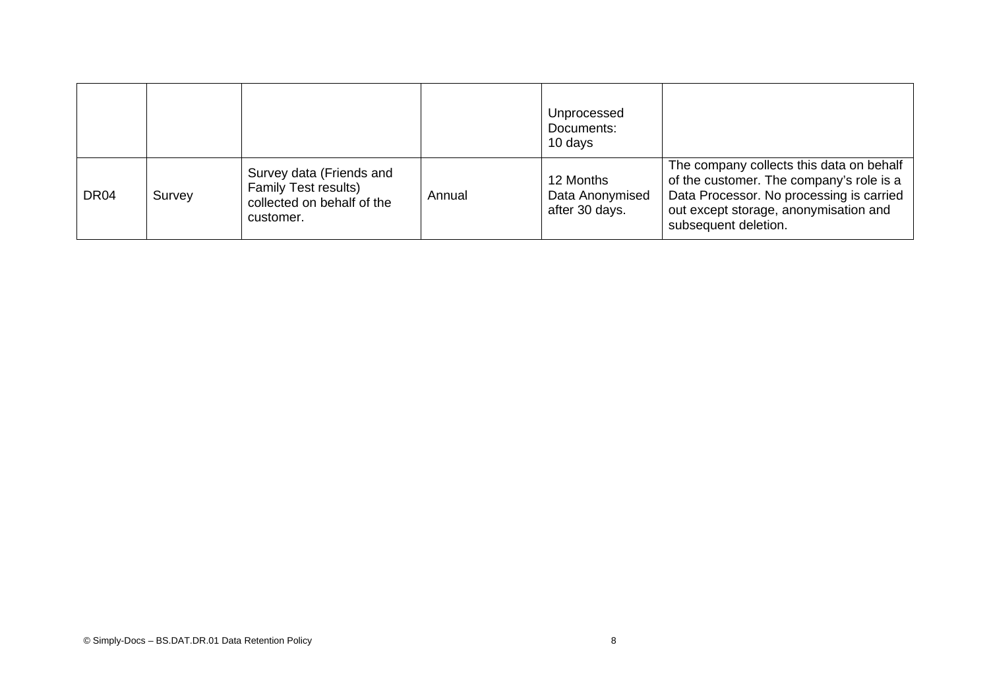|                  |        |                                                                                                    |        | Unprocessed<br>Documents:<br>10 days           |                                                                                                                                                                                                   |
|------------------|--------|----------------------------------------------------------------------------------------------------|--------|------------------------------------------------|---------------------------------------------------------------------------------------------------------------------------------------------------------------------------------------------------|
| DR <sub>04</sub> | Survey | Survey data (Friends and<br><b>Family Test results)</b><br>collected on behalf of the<br>customer. | Annual | 12 Months<br>Data Anonymised<br>after 30 days. | The company collects this data on behalf<br>of the customer. The company's role is a<br>Data Processor. No processing is carried<br>out except storage, anonymisation and<br>subsequent deletion. |